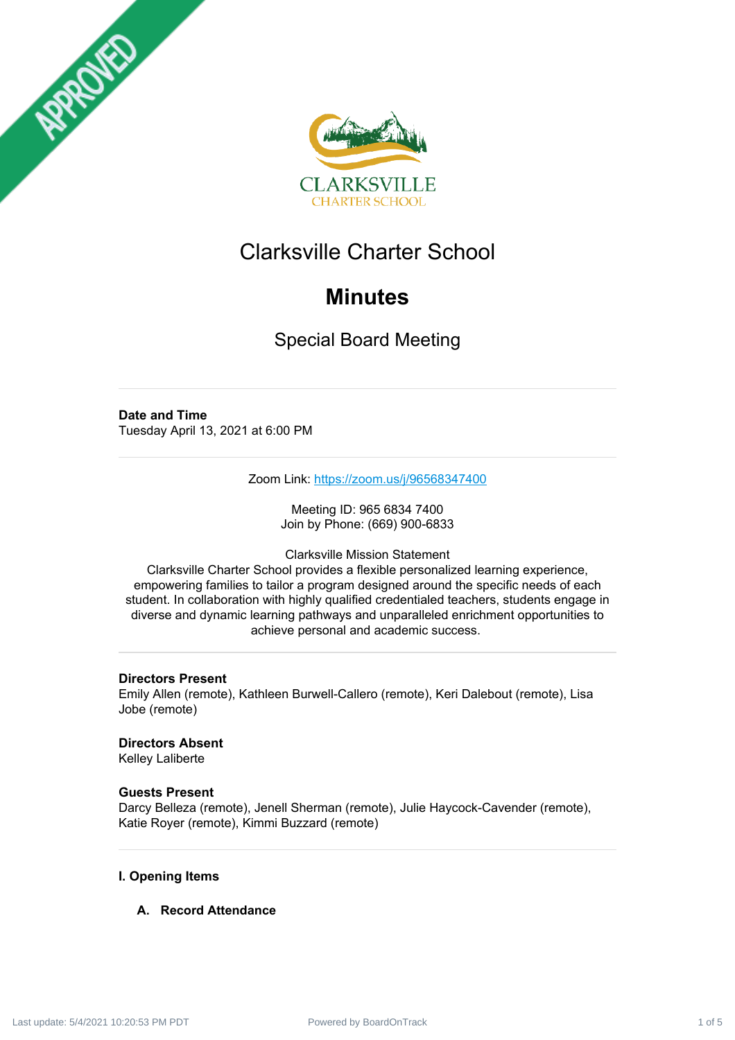



# Clarksville Charter School

# **Minutes**

Special Board Meeting

# **Date and Time**

Tuesday April 13, 2021 at 6:00 PM

Zoom Link: <https://zoom.us/j/96568347400>

Meeting ID: 965 6834 7400 Join by Phone: (669) 900-6833

Clarksville Mission Statement

Clarksville Charter School provides a flexible personalized learning experience, empowering families to tailor a program designed around the specific needs of each student. In collaboration with highly qualified credentialed teachers, students engage in diverse and dynamic learning pathways and unparalleled enrichment opportunities to achieve personal and academic success.

# **Directors Present**

Emily Allen (remote), Kathleen Burwell-Callero (remote), Keri Dalebout (remote), Lisa Jobe (remote)

# **Directors Absent**

Kelley Laliberte

# **Guests Present**

Darcy Belleza (remote), Jenell Sherman (remote), Julie Haycock-Cavender (remote), Katie Royer (remote), Kimmi Buzzard (remote)

# **I. Opening Items**

# **A. Record Attendance**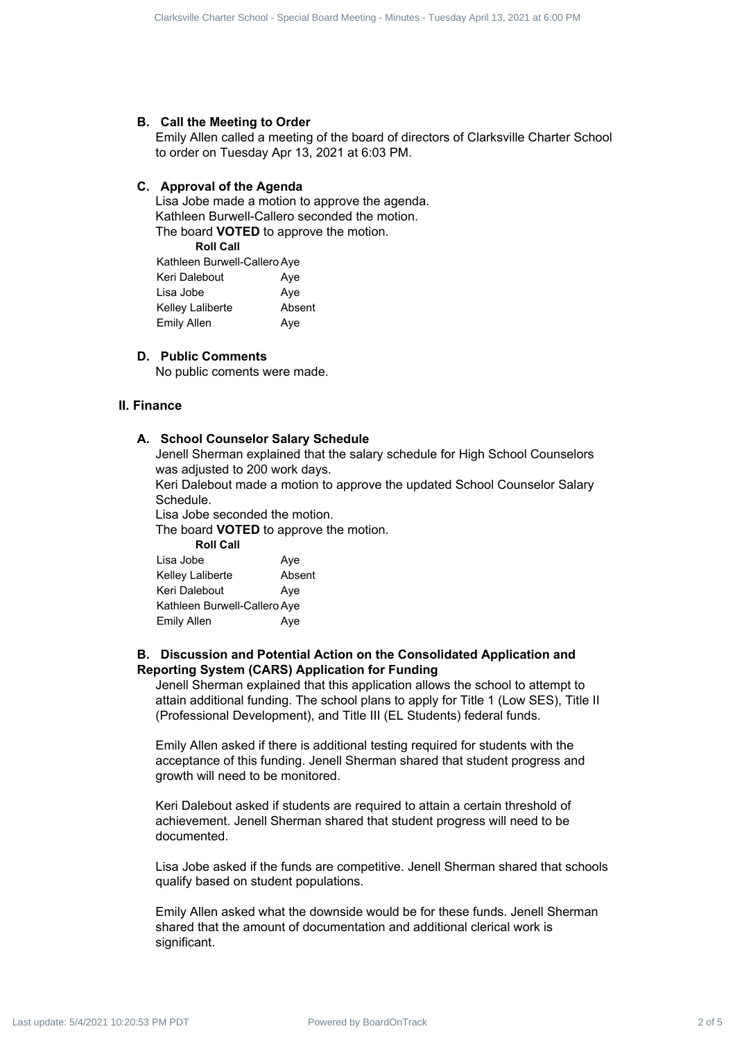#### **B. Call the Meeting to Order**

Emily Allen called a meeting of the board of directors of Clarksville Charter School to order on Tuesday Apr 13, 2021 at 6:03 PM.

#### **C. Approval of the Agenda**

Lisa Jobe made a motion to approve the agenda. Kathleen Burwell-Callero seconded the motion. The board **VOTED** to approve the motion.

**Roll Call**

| Kathleen Burwell-Callero Aye |        |  |
|------------------------------|--------|--|
| Keri Dalebout                | Aye    |  |
| Lisa Jobe                    | Aye    |  |
| Kelley Laliberte             | Absent |  |
| Emily Allen                  | Aye    |  |

#### **D. Public Comments**

No public coments were made.

#### **II. Finance**

#### **A. School Counselor Salary Schedule**

Jenell Sherman explained that the salary schedule for High School Counselors was adjusted to 200 work days.

Keri Dalebout made a motion to approve the updated School Counselor Salary Schedule.

Lisa Jobe seconded the motion.

The board **VOTED** to approve the motion.

**Roll Call**

| Lisa Jobe                    | Aye    |
|------------------------------|--------|
| Kelley Laliberte             | Absent |
| Keri Dalebout                | Aye    |
| Kathleen Burwell-Callero Aye |        |
| <b>Emily Allen</b>           | Ave    |

#### **B. Discussion and Potential Action on the Consolidated Application and Reporting System (CARS) Application for Funding**

Jenell Sherman explained that this application allows the school to attempt to attain additional funding. The school plans to apply for Title 1 (Low SES), Title II (Professional Development), and Title III (EL Students) federal funds.

Emily Allen asked if there is additional testing required for students with the acceptance of this funding. Jenell Sherman shared that student progress and growth will need to be monitored.

Keri Dalebout asked if students are required to attain a certain threshold of achievement. Jenell Sherman shared that student progress will need to be documented.

Lisa Jobe asked if the funds are competitive. Jenell Sherman shared that schools qualify based on student populations.

Emily Allen asked what the downside would be for these funds. Jenell Sherman shared that the amount of documentation and additional clerical work is significant. Club-1: Claus: Study Charter 3 of Finding - Tuesday April 2 of 5 Clarksville Charles Street<br>
By Book Meeting - Special Board - Special Board - Special Board - Special Board - Special Board - Special Board - Special Board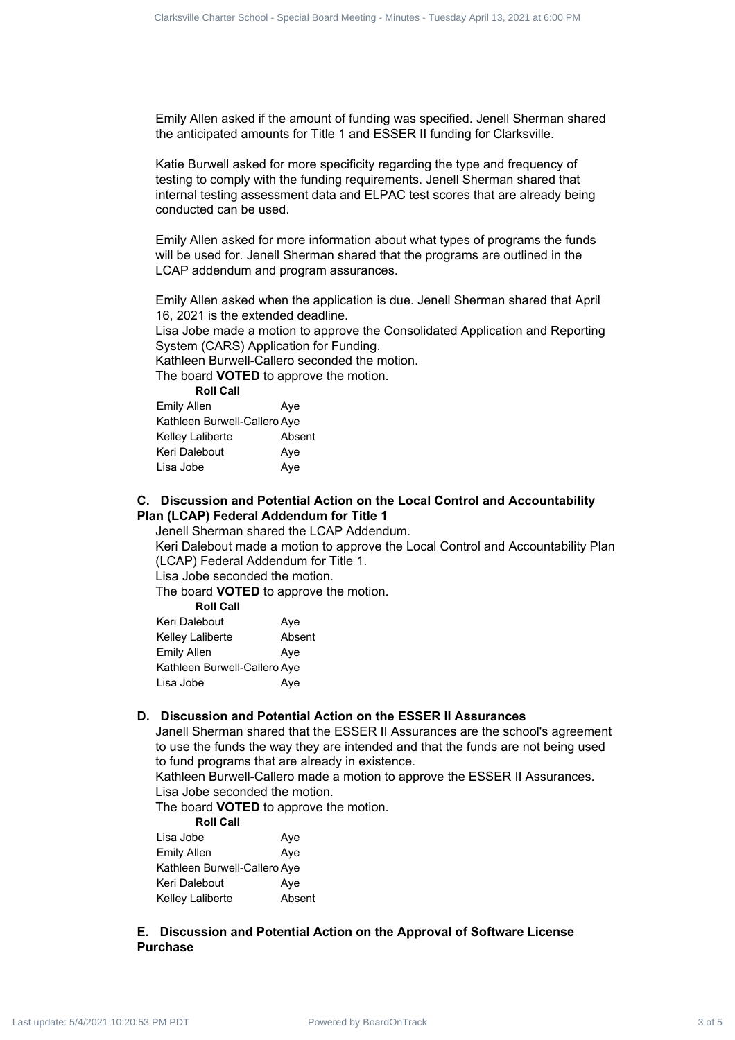Emily Allen asked if the amount of funding was specified. Jenell Sherman shared the anticipated amounts for Title 1 and ESSER II funding for Clarksville.

Katie Burwell asked for more specificity regarding the type and frequency of testing to comply with the funding requirements. Jenell Sherman shared that internal testing assessment data and ELPAC test scores that are already being conducted can be used. Charter down binds of the amount of the amount of 5 Clarksville Charter School - Special Board Meeting - Minutes and Company April 13, 2021 at 6:00 PM Last update: The amount of the amount of 5 Clarksville Charter School

Emily Allen asked for more information about what types of programs the funds will be used for. Jenell Sherman shared that the programs are outlined in the LCAP addendum and program assurances.

Emily Allen asked when the application is due. Jenell Sherman shared that April 16, 2021 is the extended deadline.

Lisa Jobe made a motion to approve the Consolidated Application and Reporting System (CARS) Application for Funding.

Kathleen Burwell-Callero seconded the motion.

The board **VOTED** to approve the motion.

| <b>Roll Call</b>             |        |
|------------------------------|--------|
| <b>Emily Allen</b>           | Aye    |
| Kathleen Burwell-Callero Aye |        |
| Kelley Laliberte             | Absent |
| Keri Dalebout                | Aye    |
| Lisa Jobe                    | Aye    |

#### **C. Discussion and Potential Action on the Local Control and Accountability Plan (LCAP) Federal Addendum for Title 1**

Jenell Sherman shared the LCAP Addendum.

Keri Dalebout made a motion to approve the Local Control and Accountability Plan (LCAP) Federal Addendum for Title 1.

Lisa Jobe seconded the motion.

The board **VOTED** to approve the motion.

| <b>Roll Call</b> |  |
|------------------|--|
|------------------|--|

| Keri Dalebout                | Aye    |
|------------------------------|--------|
| Kelley Laliberte             | Absent |
| Emily Allen                  | Aye    |
| Kathleen Burwell-Callero Aye |        |
| Lisa Jobe                    | Aye    |

#### **D. Discussion and Potential Action on the ESSER II Assurances**

Janell Sherman shared that the ESSER II Assurances are the school's agreement to use the funds the way they are intended and that the funds are not being used to fund programs that are already in existence.

Kathleen Burwell-Callero made a motion to approve the ESSER II Assurances. Lisa Jobe seconded the motion.

The board **VOTED** to approve the motion.

| <b>Roll Call</b>             |        |
|------------------------------|--------|
| Lisa Jobe                    | Aye    |
| <b>Emily Allen</b>           | Aye    |
| Kathleen Burwell-Callero Aye |        |
| Keri Dalebout                | Ave    |
| Kelley Laliberte             | Absent |

### **E. Discussion and Potential Action on the Approval of Software License Purchase**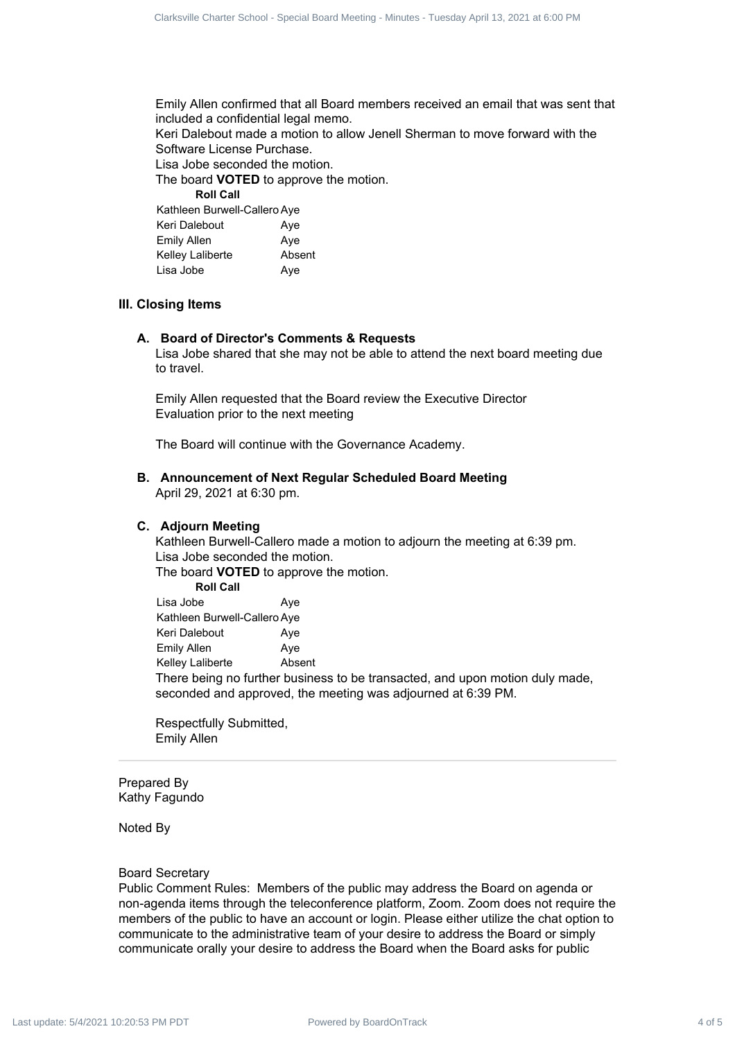Emily Allen confirmed that all Board members received an email that was sent that included a confidential legal memo.

Keri Dalebout made a motion to allow Jenell Sherman to move forward with the Software License Purchase.

Lisa Jobe seconded the motion.

The board **VOTED** to approve the motion.

**Roll Call**

| Kathleen Burwell-Callero Aye |        |  |
|------------------------------|--------|--|
| Keri Dalebout                | Ave    |  |
| Emily Allen                  | Aye    |  |
| Kelley Laliberte             | Absent |  |
| Lisa Jobe                    | Aye    |  |

#### **III. Closing Items**

#### **A. Board of Director's Comments & Requests**

Lisa Jobe shared that she may not be able to attend the next board meeting due to travel.

Emily Allen requested that the Board review the Executive Director Evaluation prior to the next meeting

The Board will continue with the Governance Academy.

**B. Announcement of Next Regular Scheduled Board Meeting** April 29, 2021 at 6:30 pm.

#### **C. Adjourn Meeting**

Kathleen Burwell-Callero made a motion to adjourn the meeting at 6:39 pm. Lisa Jobe seconded the motion.

The board **VOTED** to approve the motion.

**Roll Call** Lisa Jobe **Aye** Kathleen Burwell-Callero Aye Keri Dalebout **Aye** Emily Allen Aye Kelley Laliberte Absent

There being no further business to be transacted, and upon motion duly made, seconded and approved, the meeting was adjourned at 6:39 PM.

Respectfully Submitted, Emily Allen

Prepared By Kathy Fagundo

Noted By

#### Board Secretary

Public Comment Rules: Members of the public may address the Board on agenda or non-agenda items through the teleconference platform, Zoom. Zoom does not require the members of the public to have an account or login. Please either utilize the chat option to communicate to the administrative team of your desire to address the Board or simply communicate orally your desire to address the Board when the Board asks for public Charter down the data is a track the set of 5 Clarksville Charter School and the special Board Charter School and the special Board Charter School and the special Board Charter School and the special Board Charter School